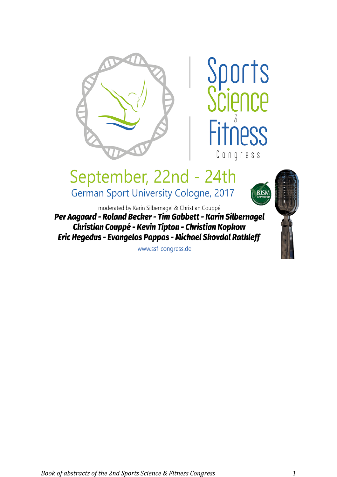

## Sports **CIPOCP JPSS** Congress

**BJSI** 

# September, 22nd - 24th

German Sport University Cologne, 2017

moderated by Karin Silbernagel & Christian Couppé

Per Aagaard - Roland Becker - Tim Gabbett - Karin Silbernagel Christian Couppé - Kevin Tipton - Christian Kopkow Eric Hegedus - Evangelos Pappas - Michael Skovdal Rathleff

www.ssf-congress.de

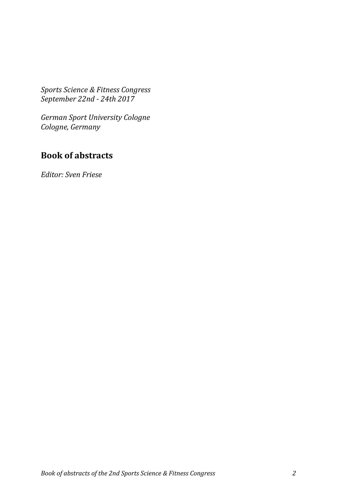*Sports Science & Fitness Congress September 22nd - 24th 2017*

*German Sport University Cologne Cologne, Germany*

### **Book of abstracts**

*Editor: Sven Friese*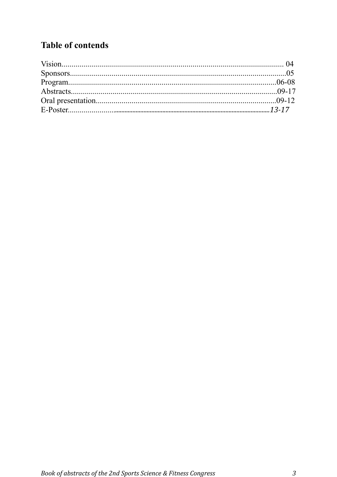## **Table of contends**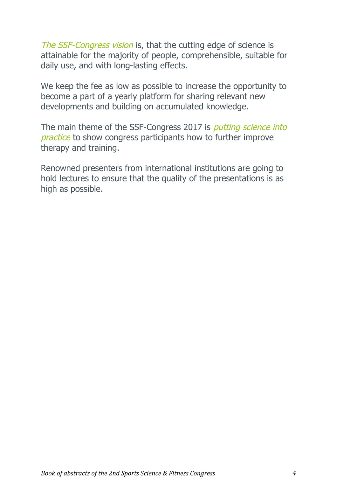The SSF-Congress vision is, that the cutting edge of science is attainable for the majority of people, comprehensible, suitable for daily use, and with long-lasting effects.

We keep the fee as low as possible to increase the opportunity to become a part of a yearly platform for sharing relevant new developments and building on accumulated knowledge.

The main theme of the SSF-Congress 2017 is *putting science into* practice to show congress participants how to further improve therapy and training.

Renowned presenters from international institutions are going to hold lectures to ensure that the quality of the presentations is as high as possible.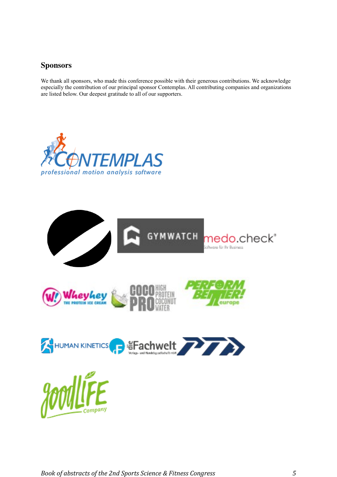### Sponsors

We thank all sponsors, who made this conference possible with their generous contributions. We acknowledge especially the contribution of our principal sponsor Contemplas. All contributing companies and organizations are listed below. Our deepest gratitude to all of our supporters.



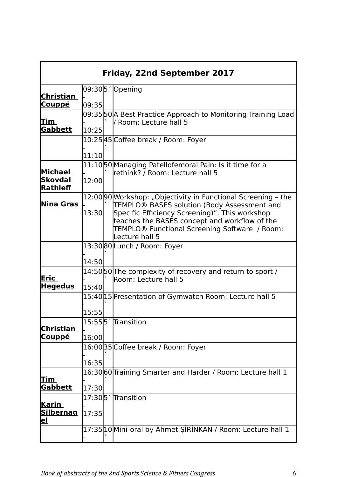| <b>Friday, 22nd September 2017</b>            |       |  |                                                                                                                                                                                                                                                                                                 |
|-----------------------------------------------|-------|--|-------------------------------------------------------------------------------------------------------------------------------------------------------------------------------------------------------------------------------------------------------------------------------------------------|
| <u>Christian</u>                              |       |  | 09:305 / Opening                                                                                                                                                                                                                                                                                |
| <u>Couppé</u>                                 | 09:35 |  |                                                                                                                                                                                                                                                                                                 |
| <u>Tim</u><br>Gabbett                         |       |  | 09:35 50 A Best Practice Approach to Monitoring Training Load<br>/ Room: Lecture hall 5                                                                                                                                                                                                         |
|                                               | 10:25 |  |                                                                                                                                                                                                                                                                                                 |
|                                               |       |  | 10:25 45 Coffee break / Room: Foyer                                                                                                                                                                                                                                                             |
|                                               | 11:10 |  |                                                                                                                                                                                                                                                                                                 |
| Michael<br>Skovdal                            | 12:00 |  | 11:10 50 Managing Patellofemoral Pain: Is it time for a<br>rethink? / Room: Lecture hall 5                                                                                                                                                                                                      |
| Rathleff                                      |       |  |                                                                                                                                                                                                                                                                                                 |
| <u>Nina Gras</u>                              | 13:30 |  | 12:00 90 Workshop: "Objectivity in Functional Screening - the<br>TEMPLO® BASES solution (Body Assessment and<br>Specific Efficiency Screening)". This workshop<br>teaches the BASES concept and workflow of the<br>TEMPLO <sup>®</sup> Functional Screening Software. / Room:<br>Lecture hall 5 |
|                                               |       |  |                                                                                                                                                                                                                                                                                                 |
|                                               | 14:50 |  | 13:30 80 Lunch / Room: Foyer                                                                                                                                                                                                                                                                    |
|                                               |       |  |                                                                                                                                                                                                                                                                                                 |
| Eric<br><b>Hegedus</b>                        | 15:40 |  | 14:50 50 The complexity of recovery and return to sport /<br>Room: Lecture hall 5                                                                                                                                                                                                               |
|                                               |       |  |                                                                                                                                                                                                                                                                                                 |
|                                               |       |  | 15:40 15 Presentation of Gymwatch Room: Lecture hall 5                                                                                                                                                                                                                                          |
|                                               | 15:55 |  |                                                                                                                                                                                                                                                                                                 |
| <b>Christian</b>                              |       |  | 15:555 Transition                                                                                                                                                                                                                                                                               |
| <u>Couppé</u>                                 | 16:00 |  |                                                                                                                                                                                                                                                                                                 |
|                                               |       |  | 16:00 35 Coffee break / Room: Foyer                                                                                                                                                                                                                                                             |
|                                               | 16:35 |  |                                                                                                                                                                                                                                                                                                 |
| <u>Tim</u>                                    |       |  | 16:30 60 Training Smarter and Harder / Room: Lecture hall 1                                                                                                                                                                                                                                     |
| <b>Gabbett</b>                                | 17:30 |  |                                                                                                                                                                                                                                                                                                 |
|                                               |       |  | 17:305 Transition                                                                                                                                                                                                                                                                               |
| <u>Karin</u><br><b>Silbernag</b><br><u>el</u> | 17:35 |  |                                                                                                                                                                                                                                                                                                 |
|                                               |       |  | 17:35 10 Mini-oral by Ahmet ŞİRİNKAN / Room: Lecture hall 1                                                                                                                                                                                                                                     |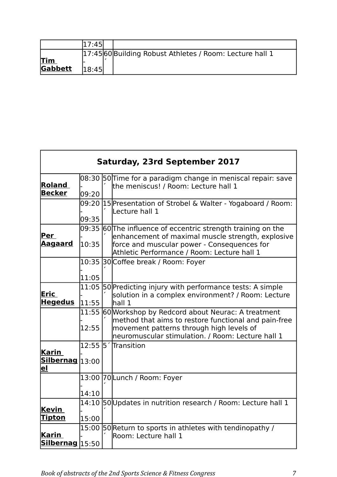|            | 17:45 |                                                          |
|------------|-------|----------------------------------------------------------|
| <u>Tim</u> |       | 17:45 60 Building Robust Athletes / Room: Lecture hall 1 |
| Gabbett    | 18:45 |                                                          |

| Saturday, 23rd September 2017    |                  |  |                                                                                                                                                                                                                   |
|----------------------------------|------------------|--|-------------------------------------------------------------------------------------------------------------------------------------------------------------------------------------------------------------------|
| Roland<br><b>Becker</b>          | 09:20            |  | 08:30 50 Time for a paradigm change in meniscal repair: save<br>the meniscus! / Room: Lecture hall 1                                                                                                              |
|                                  | 09:20  <br>09:35 |  | 15 Presentation of Strobel & Walter - Yogaboard / Room:<br>Lecture hall 1                                                                                                                                         |
| Per<br><u>Aagaard</u>            | 10:35            |  | 09:35 $60$ The influence of eccentric strength training on the<br>enhancement of maximal muscle strength, explosive<br>force and muscular power - Consequences for<br>Athletic Performance / Room: Lecture hall 1 |
|                                  | 11:05            |  | 10:35 30 Coffee break / Room: Foyer                                                                                                                                                                               |
| Eric<br><b>Hegedus</b>           | 11:55            |  | 11:05 50 Predicting injury with performance tests: A simple<br>solution in a complex environment? / Room: Lecture<br>lnall1                                                                                       |
|                                  | 12:55            |  | 11:55 60 Workshop by Redcord about Neurac: A treatment<br>method that aims to restore functional and pain-free<br>movement patterns through high levels of<br>neuromuscular stimulation. / Room: Lecture hall 1   |
| Karin<br>Silbernag 13:00<br>el   |                  |  | 12:55 5 Transition                                                                                                                                                                                                |
|                                  | 14:10            |  | 13:00 70Lunch / Room: Foyer                                                                                                                                                                                       |
| <u>Kevin</u><br><b>Tipton</b>    | 15:00            |  | 14:10 50 Updates in nutrition research / Room: Lecture hall 1                                                                                                                                                     |
| <u>Karin</u><br>Silbernag  15:50 |                  |  | 15:00 50 Return to sports in athletes with tendinopathy /<br>Room: Lecture hall 1                                                                                                                                 |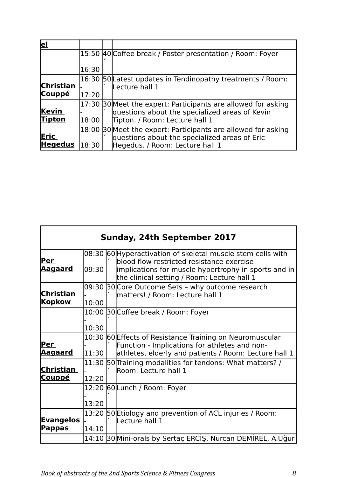| <u>el</u>      |       |                                                               |
|----------------|-------|---------------------------------------------------------------|
|                |       | 15:50 40 Coffee break / Poster presentation / Room: Foyer     |
|                |       |                                                               |
|                | 16:30 |                                                               |
|                |       | 16:30 50 Latest updates in Tendinopathy treatments / Room:    |
| Christian      |       | Lecture hall 1                                                |
| <b>Couppé</b>  | 17:20 |                                                               |
|                |       | 17:30 30 Meet the expert: Participants are allowed for asking |
| Kevin          |       | questions about the specialized areas of Kevin                |
| <b>Tipton</b>  | 18:00 | Tipton. / Room: Lecture hall 1                                |
|                |       | 18:00 30 Meet the expert: Participants are allowed for asking |
| <b>Eric</b>    |       | questions about the specialized areas of Eric                 |
| <b>Hegedus</b> | 18:30 | Hegedus. / Room: Lecture hall 1                               |

| Sunday, 24th September 2017       |       |  |                                                                                                                                                                                                                   |
|-----------------------------------|-------|--|-------------------------------------------------------------------------------------------------------------------------------------------------------------------------------------------------------------------|
| <u>Per</u><br><u>Aagaard</u>      | 09:30 |  | 08:30 60 Hyperactivation of skeletal muscle stem cells with<br>blood flow restricted resistance exercise -<br>implications for muscle hypertrophy in sports and in<br>the clinical setting / Room: Lecture hall 1 |
| Christian<br><b>Kopkow</b>        | 10:00 |  | 09:30 30 Core Outcome Sets - why outcome research<br>matters! / Room: Lecture hall 1                                                                                                                              |
|                                   | 10:30 |  | 10:00 30 Coffee break / Room: Foyer                                                                                                                                                                               |
| Per<br><u>Aagaard</u>             | 11:30 |  | 10:30 60 Effects of Resistance Training on Neuromuscular<br>Function - Implications for athletes and non-<br>athletes, elderly and patients / Room: Lecture hall 1                                                |
| Christian<br><b>Couppé</b>        | 12:20 |  | 11:30 50 Training modalities for tendons: What matters? /<br>Room: Lecture hall 1                                                                                                                                 |
|                                   | 13:20 |  | 12:20 60 Lunch / Room: Foyer                                                                                                                                                                                      |
| <b>Evangelos</b><br><u>Pappas</u> | 14:10 |  | 13:20 50 Etiology and prevention of ACL injuries / Room:<br>Lecture hall 1                                                                                                                                        |
|                                   |       |  | 14:10 30 Mini-orals by Sertaç ERCİŞ, Nurcan DEMİREL, A.Uğur                                                                                                                                                       |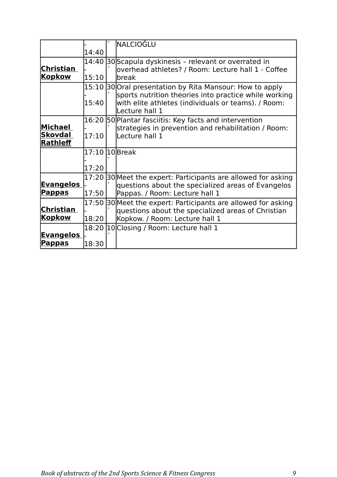|                  |                | <b>NALCIOĞLU</b>                                                                                                               |
|------------------|----------------|--------------------------------------------------------------------------------------------------------------------------------|
|                  | 14:40          |                                                                                                                                |
|                  |                | 14:40 30 Scapula dyskinesis - relevant or overrated in                                                                         |
| Christian        |                | overhead athletes? / Room: Lecture hall 1 - Coffee                                                                             |
| <b>Kopkow</b>    | 15:10          | break                                                                                                                          |
|                  |                | 15:10 30 Oral presentation by Rita Mansour: How to apply                                                                       |
|                  | 15:40          | sports nutrition theories into practice while working<br>with elite athletes (individuals or teams). / Room:<br>Lecture hall 1 |
|                  |                | 16:20 50 Plantar fasciitis: Key facts and intervention                                                                         |
| Michael          |                | strategies in prevention and rehabilitation / Room:                                                                            |
| <b>Skovdal</b>   | 17:10          | Lecture hall 1                                                                                                                 |
| Rathleff         |                |                                                                                                                                |
|                  | 17:10 10 Break |                                                                                                                                |
|                  |                |                                                                                                                                |
|                  | 17:20          |                                                                                                                                |
|                  |                | 17:20 30 Meet the expert: Participants are allowed for asking                                                                  |
| <b>Evangelos</b> |                | questions about the specialized areas of Evangelos                                                                             |
| <b>Pappas</b>    | 17:50          | Pappas. / Room: Lecture hall 1                                                                                                 |
|                  |                | 17:50 30 Meet the expert: Participants are allowed for asking                                                                  |
| Christian        |                | questions about the specialized areas of Christian                                                                             |
| <b>Kopkow</b>    | 18:20          | Kopkow. / Room: Lecture hall 1                                                                                                 |
|                  |                | 18:20 10 Closing / Room: Lecture hall 1                                                                                        |
| <b>Evangelos</b> |                |                                                                                                                                |
| <b>Pappas</b>    | 18:30          |                                                                                                                                |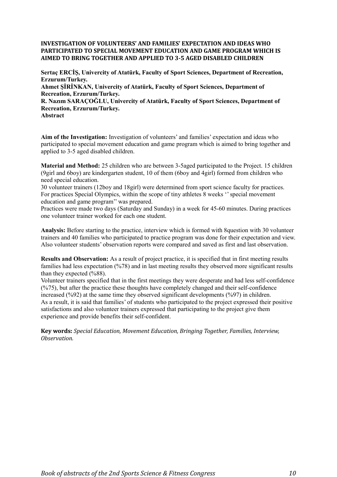#### **INVESTIGATION OF VOLUNTEERS' AND FAMILIES' EXPECTATION AND IDEAS WHO PARTICIPATED TO SPECIAL MOVEMENT EDUCATION AND GAME PROGRAM WHICH IS AIMED TO BRING TOGETHER AND APPLIED TO 3-5 AGED DISABLED CHILDREN**

**Sertaç ERCİŞ, Univercity of Atatürk, Faculty of Sport Sciences, Department of Recreation, Erzurum/Turkey. Ahmet ŞİRİNKAN, Univercity of Atatürk, Faculty of Sport Sciences, Department of Recreation, Erzurum/Turkey. R. Nazım SARAÇOĞLU, Univercity of Atatürk, Faculty of Sport Sciences, Department of Recreation, Erzurum/Turkey.** 

**Abstract**

**Aim of the Investigation:** Investigation of volunteers' and families' expectation and ideas who participated to special movement education and game program which is aimed to bring together and applied to 3-5 aged disabled children.

**Material and Method:** 25 children who are between 3-5aged participated to the Project. 15 children (9girl and 6boy) are kindergarten student, 10 of them (6boy and 4girl) formed from children who need special education.

30 volunteer trainers (12boy and 18girl) were determined from sport science faculty for practices. For practices Special Olympics, within the scope of tiny athletes 8 weeks "special movement education and game program'' was prepared.

Practices were made two days (Saturday and Sunday) in a week for 45-60 minutes. During practices one volunteer trainer worked for each one student.

**Analysis:** Before starting to the practice, interview which is formed with 8question with 30 volunteer trainers and 40 families who participated to practice program was done for their expectation and view. Also volunteer students' observation reports were compared and saved as first and last observation.

**Results and Observation:** As a result of project practice, it is specified that in first meeting results families had less expectation (%78) and in last meeting results they observed more significant results than they expected (%88).

Volunteer trainers specified that in the first meetings they were desperate and had less self-confidence  $(\frac{9675}{6})$ , but after the practice these thoughts have completely changed and their self-confidence increased (%92) at the same time they observed significant developments (%97) in children. As a result, it is said that families' of students who participated to the project expressed their positive satisfactions and also volunteer trainers expressed that participating to the project give them experience and provide benefits their self-confident.

**Key words:** *Special Education, Movement Education, Bringing Together, Families, Interview, Observation.*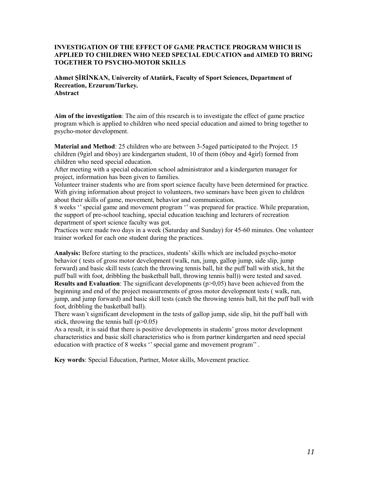#### **INVESTIGATION OF THE EFFECT OF GAME PRACTICE PROGRAM WHICH IS APPLIED TO CHILDREN WHO NEED SPECIAL EDUCATION and AIMED TO BRING TOGETHER TO PSYCHO-MOTOR SKILLS**

**Ahmet ŞİRİNKAN, Univercity of Atatürk, Faculty of Sport Sciences, Department of Recreation, Erzurum/Turkey. Abstract**

**Aim of the investigation**: The aim of this research is to investigate the effect of game practice program which is applied to children who need special education and aimed to bring together to psycho-motor development.

**Material and Method**: 25 children who are between 3-5aged participated to the Project. 15 children (9girl and 6boy) are kindergarten student, 10 of them (6boy and 4girl) formed from children who need special education.

After meeting with a special education school administrator and a kindergarten manager for project, information has been given to families.

Volunteer trainer students who are from sport science faculty have been determined for practice. With giving information about project to volunteers, two seminars have been given to children about their skills of game, movement, behavior and communication.

8 weeks '' special game and movement program '' was prepared for practice. While preparation, the support of pre-school teaching, special education teaching and lecturers of recreation department of sport science faculty was got.

Practices were made two days in a week (Saturday and Sunday) for 45-60 minutes. One volunteer trainer worked for each one student during the practices.

**Analysis:** Before starting to the practices, students' skills which are included psycho-motor behavior ( tests of gross motor development (walk, run, jump, gallop jump, side slip, jump forward) and basic skill tests (catch the throwing tennis ball, hit the puff ball with stick, hit the puff ball with foot, dribbling the basketball ball, throwing tennis ball)) were tested and saved. **Results and Evaluation**: The significant developments ( $p>0,05$ ) have been achieved from the beginning and end of the project measurements of gross motor development tests ( walk, run, jump, and jump forward) and basic skill tests (catch the throwing tennis ball, hit the puff ball with foot, dribbling the basketball ball).

There wasn't significant development in the tests of gallop jump, side slip, hit the puff ball with stick, throwing the tennis ball  $(p>0.05)$ 

As a result, it is said that there is positive developments in students' gross motor development characteristics and basic skill characteristics who is from partner kindergarten and need special education with practice of 8 weeks " special game and movement program".

**Key words**: Special Education, Partner, Motor skills, Movement practice.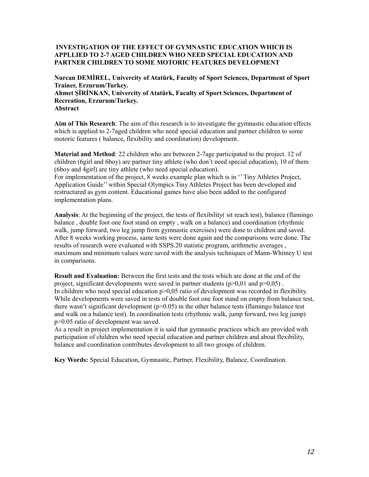#### **INVESTIGATION OF THE EFFECT OF GYMNASTIC EDUCATION WHICH IS APPLLIED TO 2-7 AGED CHILDREN WHO NEED SPECIAL EDUCATION AND PARTNER CHILDREN TO SOME MOTORIC FEATURES DEVELOPMENT**

**Nurcan DEMİREL, Univercity of Atatürk, Faculty of Sport Sciences, Department of Sport Trainer, Erzurum/Turkey. Ahmet ŞİRİNKAN, Univercity of Atatürk, Faculty of Sport Sciences, Department of Recreation, Erzurum/Turkey.** 

**Abstract**

**Aim of This Research**: The aim of this research is to investigate the gymnastic education effects which is applied to 2-7aged children who need special education and partner children to some motoric features ( balance, flexibility and coordination) development.

**Material and Method**: 22 children who are between 2-7age participated to the project. 12 of children (6girl and 6boy) are partner tiny athlete (who don't need special education), 10 of them (6boy and 4girl) are tiny athlete (who need special education).

For implementation of the project, 8 weeks example plan which is in '' Tiny Athletes Project, Application Guide'' within Special Olympics Tiny Athletes Project has been developed and restructured as gym content. Educational games have also been added to the configured implementation plans.

**Analysis**: At the beginning of the project, the tests of flexibility( sit reach test), balance (flamingo balance , double foot one foot stand on empty , walk on a balance) and coordination (rhythmic walk, jump forward, two leg jump from gymnastic exercises) were done to children and saved. After 8 weeks working process, same tests were done again and the comparisons were done. The results of research were evaluated with SSPS.20 statistic program, arithmetic averages , maximum and minimum values were saved with the analysis techniques of Mann-Whitney U test in comparisons.

**Result and Evaluation:** Between the first tests and the tests which are done at the end of the project, significant developments were saved in partner students  $(p>0,01$  and  $p>0,05)$ . In children who need special education  $p > 0.05$  ratio of development was recorded in flexibility. While developments were saved in tests of double foot one foot stand on empty from balance test, there wasn't significant development ( $p>0.05$ ) in the other balance tests (flamingo balance test and walk on a balance test). In coordination tests (rhythmic walk, jump forward, two leg jump) p>0.05 ratio of development was saved.

As a result in project implementation it is said that gymnastic practices which are provided with participation of children who need special education and partner children and about flexibility, balance and coordination contributes development to all two groups of children.

**Key Words:** Special Education, Gymnastic, Partner, Flexibility, Balance, Coordination.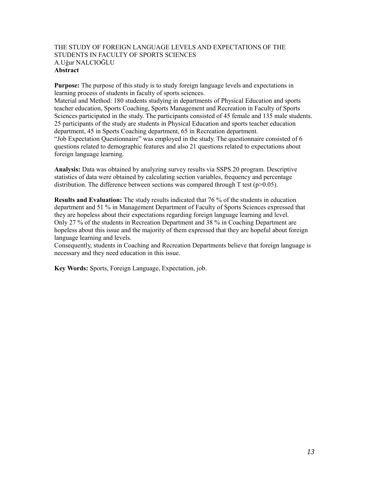#### THE STUDY OF FOREIGN LANGUAGE LEVELS AND EXPECTATIONS OF THE STUDENTS IN FACULTY OF SPORTS SCIENCES A.Uğur NALCIOĞLU **Abstract**

**Purpose:** The purpose of this study is to study foreign language levels and expectations in learning process of students in faculty of sports sciences.

Material and Method: 180 students studying in departments of Physical Education and sports teacher education, Sports Coaching, Sports Management and Recreation in Faculty of Sports Sciences participated in the study. The participants consisted of 45 female and 135 male students. 25 participants of the study are students in Physical Education and sports teacher education department, 45 in Sports Coaching department, 65 in Recreation department.

"Job Expectation Questionnaire" was employed in the study. The questionnaire consisted of 6 questions related to demographic features and also 21 questions related to expectations about foreign language learning.

**Analysis:** Data was obtained by analyzing survey results via SSPS.20 program. Descriptive statistics of data were obtained by calculating section variables, frequency and percentage distribution. The difference between sections was compared through T test ( $p>0.05$ ).

**Results and Evaluation:** The study results indicated that 76 % of the students in education department and 51 % in Management Department of Faculty of Sports Sciences expressed that they are hopeless about their expectations regarding foreign language learning and level. Only 27 % of the students in Recreation Department and 38 % in Coaching Department are hopeless about this issue and the majority of them expressed that they are hopeful about foreign language learning and levels.

Consequently, students in Coaching and Recreation Departments believe that foreign language is necessary and they need education in this issue.

**Key Words:** Sports, Foreign Language, Expectation, job.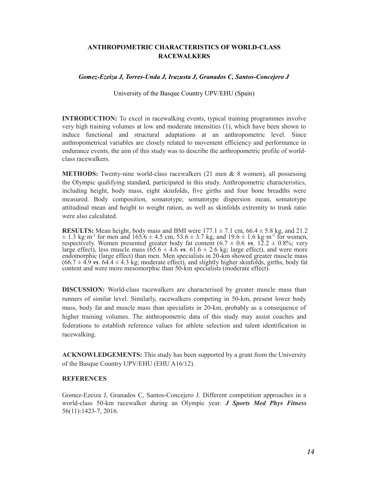#### **ANTHROPOMETRIC CHARACTERISTICS OF WORLD-CLASS RACEWALKERS**

#### *Gomez-Ezeiza J, Torres-Unda J, Irazusta J, Granados C, Santos-Concejero J*

University of the Basque Country UPV/EHU (Spain)

**INTRODUCTION:** To excel in racewalking events, typical training programmes involve very high training volumes at low and moderate intensities (1), which have been shown to induce functional and structural adaptations at an anthropometric level. Since anthropometrical variables are closely related to movement efficiency and performance in endurance events, the aim of this study was to describe the anthropometric profile of worldclass racewalkers.

**METHODS:** Twenty-nine world-class racewalkers (21 men & 8 women), all possessing the Olympic qualifying standard, participated in this study. Anthropometric characteristics, including height, body mass, eight skinfolds, five girths and four bone breadths were measured. Body composition, somatotype, somatotype dispersion mean, somatotype attitudinal mean and height to weight ration, as well as skinfolds extremity to trunk ratio were also calculated.

**RESULTS:** Mean height, body mass and BMI were  $177.1 \pm 7.1$  cm,  $66.4 \pm 5.8$  kg, and  $21.2$  $\pm$  1.3 kg·m<sup>-2</sup> for men and 165.6  $\pm$  4.5 cm, 53.6  $\pm$  3.7 kg, and 19.6  $\pm$  1.6 kg·m<sup>-2</sup> for women, respectively. Women presented greater body fat content (6.7 ± 0.6 *vs*. 12.2 ± 0.8%; very large effect), less muscle mass  $(65.6 \pm 4.6 \text{ vs. } 61.6 \pm 2.6 \text{ kg}$ ; large effect), and were more endomorphic (large effect) than men. Men specialists in 20-km showed greater muscle mass  $(66.7 \pm 4.9 \text{ vs. } 64.4 \pm 4.3 \text{ kg}$ ; moderate effect), and slightly higher skinfolds, girths, body fat content and were more mesomorphic than 50-km specialists (moderate effect).

**DISCUSSION:** World-class racewalkers are characterised by greater muscle mass than runners of similar level. Similarly, racewalkers competing in 50-km, present lower body mass, body fat and muscle mass than specialists in 20-km, probably as a consequence of higher training volumes. The anthropometric data of this study may assist coaches and federations to establish reference values for athlete selection and talent identification in racewalking.

**ACKNOWLEDGEMENTS:** This study has been supported by a grant from the University of the Basque Country UPV/EHU (EHU A16/12).

#### **REFERENCES**

Gomez-Ezeiza J, Granados C, Santos-Concejero J. Different competition approaches in a world-class 50-km racewalker during an Olympic year. *J Sports Med Phys Fitness* 56(11):1423-7, 2016.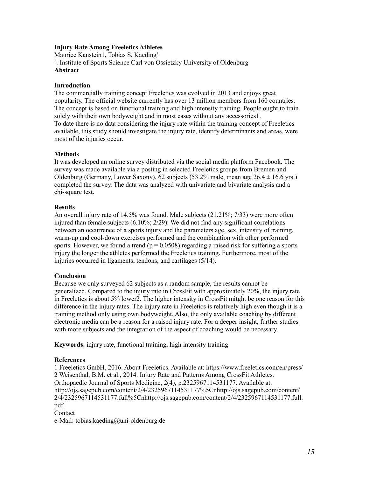#### **Injury Rate Among Freeletics Athletes**

Maurice Kanstein1, Tobias S. Kaeding<sup>1</sup> <sup>1</sup>: Institute of Sports Science Carl von Ossietzky University of Oldenburg **Abstract**

#### **Introduction**

The commercially training concept Freeletics was evolved in 2013 and enjoys great popularity. The official website currently has over 13 million members from 160 countries. The concept is based on functional training and high intensity training. People ought to train solely with their own bodyweight and in most cases without any accessories1. To date there is no data considering the injury rate within the training concept of Freeletics available, this study should investigate the injury rate, identify determinants and areas, were most of the injuries occur.

#### **Methods**

It was developed an online survey distributed via the social media platform Facebook. The survey was made available via a posting in selected Freeletics groups from Bremen and Oldenburg (Germany, Lower Saxony). 62 subjects (53.2% male, mean age  $26.4 \pm 16.6$  yrs.) completed the survey. The data was analyzed with univariate and bivariate analysis and a chi-square test.

#### **Results**

An overall injury rate of 14.5% was found. Male subjects (21.21%; 7/33) were more often injured than female subjects  $(6.10\%; 2/29)$ . We did not find any significant correlations between an occurrence of a sports injury and the parameters age, sex, intensity of training, warm-up and cool-down exercises performed and the combination with other performed sports. However, we found a trend ( $p = 0.0508$ ) regarding a raised risk for suffering a sports injury the longer the athletes performed the Freeletics training. Furthermore, most of the injuries occurred in ligaments, tendons, and cartilages (5/14).

#### **Conclusion**

Because we only surveyed 62 subjects as a random sample, the results cannot be generalized. Compared to the injury rate in CrossFit with approximately 20%, the injury rate in Freeletics is about 5% lower2. The higher intensity in CrossFit mitght be one reason for this difference in the injury rates. The injury rate in Freeletics is relatively high even though it is a training method only using own bodyweight. Also, the only available coaching by different electronic media can be a reason for a raised injury rate. For a deeper insight, further studies with more subjects and the integration of the aspect of coaching would be necessary.

**Keywords**: injury rate, functional training, high intensity training

#### **References**

1 Freeletics GmbH, 2016. About Freeletics. Available at: https://www.freeletics.com/en/press/ 2 Weisenthal, B.M. et al., 2014. Injury Rate and Patterns Among CrossFit Athletes. Orthopaedic Journal of Sports Medicine, 2(4), p.2325967114531177. Available at: http://ojs.sagepub.com/content/2/4/2325967114531177%5Cnhttp://ojs.sagepub.com/content/ 2/4/2325967114531177.full%5Cnhttp://ojs.sagepub.com/content/2/4/2325967114531177.full. pdf. Contact

e-Mail: tobias.kaeding@uni-oldenburg.de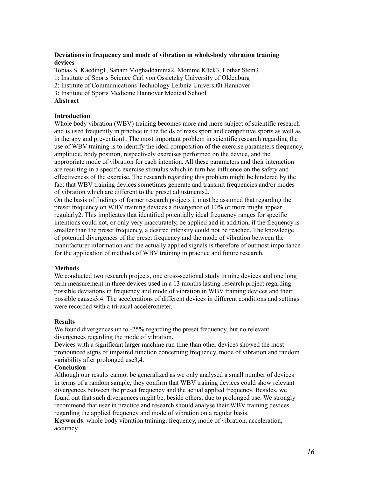#### **Deviations in frequency and mode of vibration in whole-body vibration training devices**

Tobias S. Kaeding1, Sanam Moghaddamnia2, Momme Kück3, Lothar Stein3

1: Institute of Sports Science Carl von Ossietzky University of Oldenburg

2: Institute of Communications Technology Leibniz Universität Hannover

3: Institute of Sports Medicine Hannover Medical School

#### **Abstract**

#### **Introduction**

Whole body vibration (WBV) training becomes more and more subject of scientific research and is used frequently in practice in the fields of mass sport and competitive sports as well as in therapy and prevention1. The most important problem in scientific research regarding the use of WBV training is to identify the ideal composition of the exercise parameters frequency, amplitude, body position, respectively exercises performed on the device, and the appropriate mode of vibration for each intention. All these parameters and their interaction are resulting in a specific exercise stimulus which in turn has influence on the safety and effectiveness of the exercise. The research regarding this problem might be hindered by the fact that WBV training devices sometimes generate and transmit frequencies and/or modes of vibration which are different to the preset adjustments2.

On the basis of findings of former research projects it must be assumed that regarding the preset frequency on WBV training devices a divergence of 10% or more might appear regularly2. This implicates that identified potentially ideal frequency ranges for specific intentions could not, or only very inaccurately, be applied and in addition, if the frequency is smaller than the preset frequency, a desired intensity could not be reached. The knowledge of potential divergences of the preset frequency and the mode of vibration between the manufacturer information and the actually applied signals is therefore of outmost importance for the application of methods of WBV training in practice and future research.

#### **Methods**

We conducted two research projects, one cross-sectional study in nine devices and one long term measurement in three devices used in a 13 months lasting research project regarding possible deviations in frequency and mode of vibration in WBV training devices and their possible causes3,4. The accelerations of different devices in different conditions and settings were recorded with a tri-axial accelerometer.

#### **Results**

We found divergences up to -25% regarding the preset frequency, but no relevant divergences regarding the mode of vibration.

Devices with a significant larger machine run time than other devices showed the most pronounced signs of impaired function concerning frequency, mode of vibration and random variability after prolonged use3,4.

#### **Conclusion**

Although our results cannot be generalized as we only analysed a small number of devices in terms of a random sample, they confirm that WBV training devices could show relevant divergences between the preset frequency and the actual applied frequency. Besides, we found out that such divergences might be, beside others, due to prolonged use. We strongly recommend that user in practice and research should analyse their WBV training devices regarding the applied frequency and mode of vibration on a regular basis.

**Keywords**: whole body vibration training, frequency, mode of vibration, acceleration, accuracy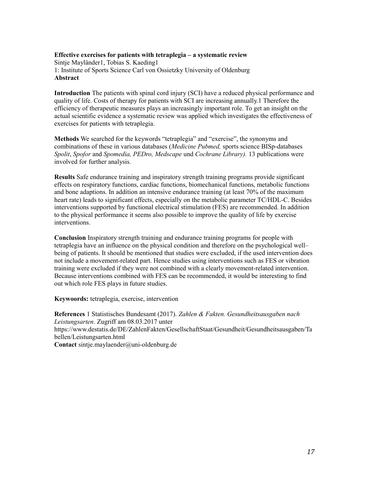#### **Effective exercises for patients with tetraplegia – a systematic review**  Sintje Mayländer1, Tobias S. Kaeding1 1: Institute of Sports Science Carl von Ossietzky University of Oldenburg **Abstract**

**Introduction** The patients with spinal cord injury (SCI) have a reduced physical performance and quality of life. Costs of therapy for patients with SCI are increasing annually.1 Therefore the efficiency of therapeutic measures plays an increasingly important role. To get an insight on the actual scientific evidence a systematic review was applied which investigates the effectiveness of exercises for patients with tetraplegia.

**Methods** We searched for the keywords "tetraplegia" and "exercise", the synonyms and combinations of these in various databases (*Medicine Pubmed,* sports science BISp-databases *Spolit*, *Spofor* and *Spomedia, PEDro, Medscape* und *Cochrane Library).* 13 publications were involved for further analysis.

**Results** Safe endurance training and inspiratory strength training programs provide significant effects on respiratory functions, cardiac functions, biomechanical functions, metabolic functions and bone adaptions. In addition an intensive endurance training (at least 70% of the maximum heart rate) leads to significant effects, especially on the metabolic parameter TC/HDL-C. Besides interventions supported by functional electrical stimulation (FES) are recommended. In addition to the physical performance it seems also possible to improve the quality of life by exercise interventions.

**Conclusion** Inspiratory strength training and endurance training programs for people with tetraplegia have an influence on the physical condition and therefore on the psychological well– being of patients. It should be mentioned that studies were excluded, if the used intervention does not include a movement-related part. Hence studies using interventions such as FES or vibration training were excluded if they were not combined with a clearly movement-related intervention. Because interventions combined with FES can be recommended, it would be interesting to find out which role FES plays in future studies.

**Keywoords:** tetraplegia, exercise, intervention

**References** 1 Statistisches Bundesamt (2017). *Zahlen & Fakten. Gesundheitsausgaben nach Leistungsarten.* Zugriff am 08.03.2017 unter https://www.destatis.de/DE/ZahlenFakten/GesellschaftStaat/Gesundheit/Gesundheitsausgaben/Ta bellen/Leistungsarten.html **Contact** sintje.maylaender@uni-oldenburg.de